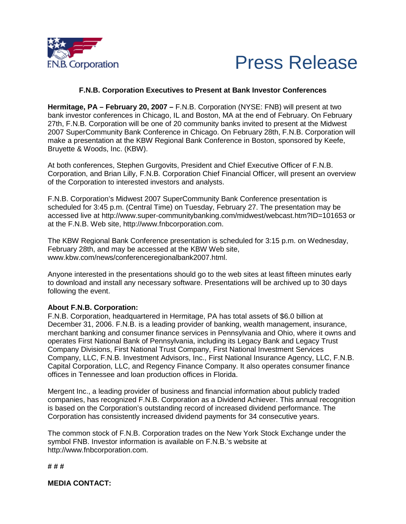



## **F.N.B. Corporation Executives to Present at Bank Investor Conferences**

**Hermitage, PA – February 20, 2007 –** F.N.B. Corporation (NYSE: FNB) will present at two bank investor conferences in Chicago, IL and Boston, MA at the end of February. On February 27th, F.N.B. Corporation will be one of 20 community banks invited to present at the Midwest 2007 SuperCommunity Bank Conference in Chicago. On February 28th, F.N.B. Corporation will make a presentation at the KBW Regional Bank Conference in Boston, sponsored by Keefe, Bruyette & Woods, Inc. (KBW).

At both conferences, Stephen Gurgovits, President and Chief Executive Officer of F.N.B. Corporation, and Brian Lilly, F.N.B. Corporation Chief Financial Officer, will present an overview of the Corporation to interested investors and analysts.

F.N.B. Corporation's Midwest 2007 SuperCommunity Bank Conference presentation is scheduled for 3:45 p.m. (Central Time) on Tuesday, February 27. The presentation may be accessed live at http://www.super-communitybanking.com/midwest/webcast.htm?ID=101653 or at the F.N.B. Web site, http://www.fnbcorporation.com.

The KBW Regional Bank Conference presentation is scheduled for 3:15 p.m. on Wednesday, February 28th, and may be accessed at the KBW Web site, www.kbw.com/news/conferenceregionalbank2007.html.

Anyone interested in the presentations should go to the web sites at least fifteen minutes early to download and install any necessary software. Presentations will be archived up to 30 days following the event.

## **About F.N.B. Corporation:**

F.N.B. Corporation, headquartered in Hermitage, PA has total assets of \$6.0 billion at December 31, 2006. F.N.B. is a leading provider of banking, wealth management, insurance, merchant banking and consumer finance services in Pennsylvania and Ohio, where it owns and operates First National Bank of Pennsylvania, including its Legacy Bank and Legacy Trust Company Divisions, First National Trust Company, First National Investment Services Company, LLC, F.N.B. Investment Advisors, Inc., First National Insurance Agency, LLC, F.N.B. Capital Corporation, LLC, and Regency Finance Company. It also operates consumer finance offices in Tennessee and loan production offices in Florida.

Mergent Inc., a leading provider of business and financial information about publicly traded companies, has recognized F.N.B. Corporation as a Dividend Achiever. This annual recognition is based on the Corporation's outstanding record of increased dividend performance. The Corporation has consistently increased dividend payments for 34 consecutive years.

The common stock of F.N.B. Corporation trades on the New York Stock Exchange under the symbol FNB. Investor information is available on F.N.B.'s website at http://www.fnbcorporation.com.

## **# # #**

**MEDIA CONTACT:**